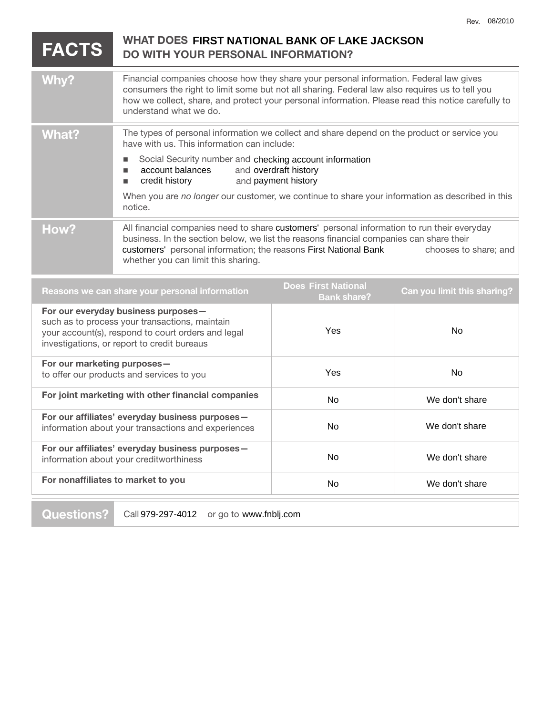|                                                                                                                                                                                            |                                                                                                                                                                                                                                                                                                                                                                                                                                       |                                                  | Rev. 08/2010                |
|--------------------------------------------------------------------------------------------------------------------------------------------------------------------------------------------|---------------------------------------------------------------------------------------------------------------------------------------------------------------------------------------------------------------------------------------------------------------------------------------------------------------------------------------------------------------------------------------------------------------------------------------|--------------------------------------------------|-----------------------------|
| WHAT DOES FIRST NATIONAL BANK OF LAKE JACKSON<br><b>FACTS</b><br><b>DO WITH YOUR PERSONAL INFORMATION?</b>                                                                                 |                                                                                                                                                                                                                                                                                                                                                                                                                                       |                                                  |                             |
| Why?                                                                                                                                                                                       | Financial companies choose how they share your personal information. Federal law gives<br>consumers the right to limit some but not all sharing. Federal law also requires us to tell you<br>how we collect, share, and protect your personal information. Please read this notice carefully to<br>understand what we do.                                                                                                             |                                                  |                             |
| <b>What?</b>                                                                                                                                                                               | The types of personal information we collect and share depend on the product or service you<br>have with us. This information can include:<br>Social Security number and checking account information<br>$\blacksquare$<br>account balances<br>and overdraft history<br>٠<br>credit history<br>and payment history<br>п<br>When you are no longer our customer, we continue to share your information as described in this<br>notice. |                                                  |                             |
| How?                                                                                                                                                                                       | All financial companies need to share customers' personal information to run their everyday<br>business. In the section below, we list the reasons financial companies can share their<br>customers' personal information; the reasons First National Bank<br>chooses to share; and<br>whether you can limit this sharing.                                                                                                            |                                                  |                             |
| Reasons we can share your personal information                                                                                                                                             |                                                                                                                                                                                                                                                                                                                                                                                                                                       | <b>Does First National</b><br><b>Bank share?</b> | Can you limit this sharing? |
| For our everyday business purposes-<br>such as to process your transactions, maintain<br>your account(s), respond to court orders and legal<br>investigations, or report to credit bureaus |                                                                                                                                                                                                                                                                                                                                                                                                                                       | Yes                                              | <b>No</b>                   |
| For our marketing purposes-<br>to offer our products and services to you                                                                                                                   |                                                                                                                                                                                                                                                                                                                                                                                                                                       | Yes                                              | <b>No</b>                   |
| For joint marketing with other financial companies                                                                                                                                         |                                                                                                                                                                                                                                                                                                                                                                                                                                       | No                                               | We don't share              |
| For our affiliates' everyday business purposes-                                                                                                                                            |                                                                                                                                                                                                                                                                                                                                                                                                                                       |                                                  |                             |

| For our affiliates' everyday business purposes-<br>information about your transactions and experiences | No | We don't share |
|--------------------------------------------------------------------------------------------------------|----|----------------|
| For our affiliates' everyday business purposes-<br>information about your creditworthiness             | No | We don't share |
| For nonaffiliates to market to you                                                                     | No | We don't share |
|                                                                                                        |    |                |

**Questions?** Call 979-297-4012 or go to www.fnblj.com